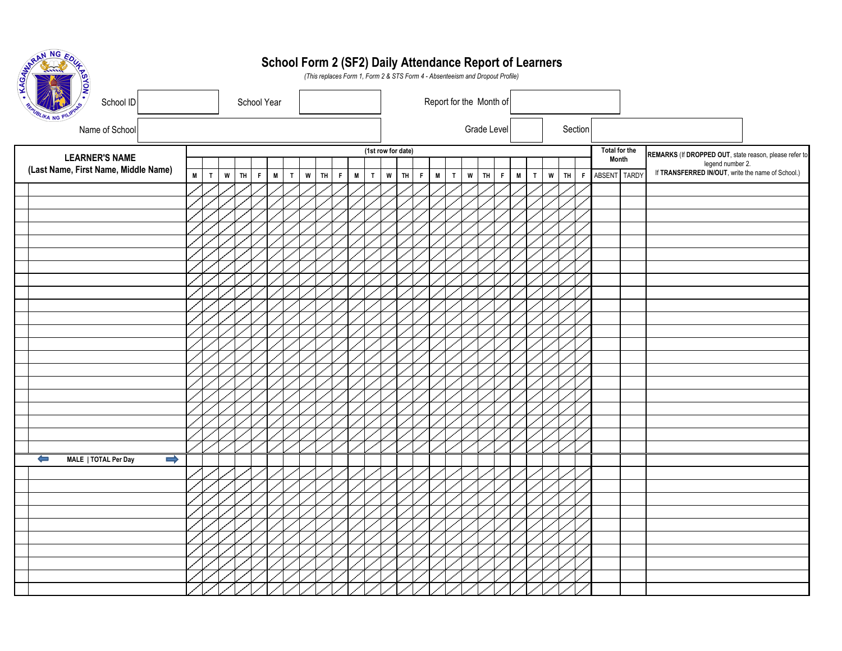| MARAN NG EDUZ                                         |              |              |   |    |   |   |   |        |  |   |   |             | School Form 2 (SF2) Daily Attendance Report of Learners<br>(This replaces Form 1, Form 2 & STS Form 4 - Absenteeism and Dropout Profile) |                    |   |                                                                                                            |             |              |                         |   |              |   |                   |              |               |  |                                                        |  |                  |                                                   |  |
|-------------------------------------------------------|--------------|--------------|---|----|---|---|---|--------|--|---|---|-------------|------------------------------------------------------------------------------------------------------------------------------------------|--------------------|---|------------------------------------------------------------------------------------------------------------|-------------|--------------|-------------------------|---|--------------|---|-------------------|--------------|---------------|--|--------------------------------------------------------|--|------------------|---------------------------------------------------|--|
| School ID                                             |              |              |   |    |   |   |   |        |  |   |   |             |                                                                                                                                          |                    |   |                                                                                                            |             |              | Report for the Month of |   |              |   |                   |              |               |  |                                                        |  |                  |                                                   |  |
| Name of School                                        |              |              |   |    |   |   |   |        |  |   |   |             |                                                                                                                                          |                    |   |                                                                                                            |             |              | Grade Level             |   | Section      |   |                   |              |               |  |                                                        |  |                  |                                                   |  |
| <b>LEARNER'S NAME</b>                                 |              |              |   |    |   |   |   |        |  |   |   |             |                                                                                                                                          | (1st row for date) |   |                                                                                                            |             |              |                         |   |              |   |                   |              | Total for the |  | REMARKS (If DROPPED OUT, state reason, please refer to |  |                  |                                                   |  |
| (Last Name, First Name, Middle Name)                  |              |              |   |    |   |   |   |        |  |   |   |             |                                                                                                                                          |                    |   |                                                                                                            |             |              |                         |   |              |   |                   |              | Month         |  |                                                        |  | legend number 2. |                                                   |  |
|                                                       | $\mathsf{M}$ | $\mathbf{T}$ | W | TH | F | M | T | $W$ TH |  | F | M | $\mathbf T$ | $\boldsymbol{\mathsf{w}}$                                                                                                                | TH                 | F | $\mathsf{M}% _{T}=\mathsf{M}_{T}\!\left( a,b\right) ,\ \mathsf{M}_{T}=\mathsf{M}_{T}\!\left( a,b\right) ,$ | $\mathsf T$ | $\mathsf{w}$ | TH.<br>F                | M | $\mathbf{T}$ | W | TH<br>$\mathsf F$ | ABSENT TARDY |               |  |                                                        |  |                  | If TRANSFERRED IN/OUT, write the name of School.) |  |
|                                                       |              |              |   |    |   |   |   |        |  |   |   |             |                                                                                                                                          |                    |   |                                                                                                            |             |              |                         |   |              |   |                   |              |               |  |                                                        |  |                  |                                                   |  |
|                                                       |              |              |   |    |   |   |   |        |  |   |   |             |                                                                                                                                          |                    |   |                                                                                                            |             |              |                         |   |              |   |                   |              |               |  |                                                        |  |                  |                                                   |  |
|                                                       |              |              |   |    |   |   |   |        |  |   |   |             |                                                                                                                                          |                    |   |                                                                                                            |             |              |                         |   |              |   |                   |              |               |  |                                                        |  |                  |                                                   |  |
|                                                       |              |              |   |    |   |   |   |        |  |   |   |             |                                                                                                                                          |                    |   |                                                                                                            |             |              |                         |   |              |   |                   |              |               |  |                                                        |  |                  |                                                   |  |
|                                                       |              |              |   |    |   |   |   |        |  |   |   |             |                                                                                                                                          |                    |   |                                                                                                            |             |              |                         |   |              |   |                   |              |               |  |                                                        |  |                  |                                                   |  |
|                                                       |              |              |   |    |   |   |   |        |  |   |   |             |                                                                                                                                          |                    |   |                                                                                                            |             |              |                         |   |              |   |                   |              |               |  |                                                        |  |                  |                                                   |  |
|                                                       |              |              |   |    |   |   |   |        |  |   |   |             |                                                                                                                                          |                    |   |                                                                                                            |             |              |                         |   |              |   |                   |              |               |  |                                                        |  |                  |                                                   |  |
|                                                       |              |              |   |    |   |   |   |        |  |   |   |             |                                                                                                                                          |                    |   |                                                                                                            |             |              |                         |   |              |   |                   |              |               |  |                                                        |  |                  |                                                   |  |
|                                                       |              |              |   |    |   |   |   |        |  |   |   |             |                                                                                                                                          |                    |   |                                                                                                            |             |              |                         |   |              |   |                   |              |               |  |                                                        |  |                  |                                                   |  |
|                                                       |              |              |   |    |   |   |   |        |  |   |   |             |                                                                                                                                          |                    |   |                                                                                                            |             |              |                         |   |              |   |                   |              |               |  |                                                        |  |                  |                                                   |  |
|                                                       |              |              |   |    |   |   |   |        |  |   |   |             |                                                                                                                                          |                    |   |                                                                                                            |             |              |                         |   |              |   |                   |              |               |  |                                                        |  |                  |                                                   |  |
|                                                       |              |              |   |    |   |   |   |        |  |   |   |             |                                                                                                                                          |                    |   |                                                                                                            |             |              |                         |   |              |   |                   |              |               |  |                                                        |  |                  |                                                   |  |
|                                                       |              |              |   |    |   |   |   |        |  |   |   |             |                                                                                                                                          |                    |   |                                                                                                            |             |              |                         |   |              |   |                   |              |               |  |                                                        |  |                  |                                                   |  |
|                                                       |              |              |   |    |   |   |   |        |  |   |   |             |                                                                                                                                          |                    |   |                                                                                                            |             |              |                         |   |              |   |                   |              |               |  |                                                        |  |                  |                                                   |  |
|                                                       |              |              |   |    |   |   |   |        |  |   |   |             |                                                                                                                                          |                    |   |                                                                                                            |             |              |                         |   |              |   |                   |              |               |  |                                                        |  |                  |                                                   |  |
|                                                       |              |              |   |    |   |   |   |        |  |   |   |             |                                                                                                                                          |                    |   |                                                                                                            |             |              |                         |   |              |   |                   |              |               |  |                                                        |  |                  |                                                   |  |
|                                                       |              |              |   |    |   |   |   |        |  |   |   |             |                                                                                                                                          |                    |   |                                                                                                            |             |              |                         |   |              |   |                   |              |               |  |                                                        |  |                  |                                                   |  |
|                                                       |              |              |   |    |   |   |   |        |  |   |   |             |                                                                                                                                          |                    |   |                                                                                                            |             |              |                         |   |              |   |                   |              |               |  |                                                        |  |                  |                                                   |  |
|                                                       |              |              |   |    |   |   |   |        |  |   |   |             |                                                                                                                                          |                    |   |                                                                                                            |             |              |                         |   |              |   |                   |              |               |  |                                                        |  |                  |                                                   |  |
|                                                       |              |              |   |    |   |   |   |        |  |   |   |             |                                                                                                                                          |                    |   |                                                                                                            |             |              |                         |   |              |   |                   |              |               |  |                                                        |  |                  |                                                   |  |
| $\Rightarrow$<br>$\leftarrow$<br>MALE   TOTAL Per Day |              |              |   |    |   |   |   |        |  |   |   |             |                                                                                                                                          |                    |   |                                                                                                            |             |              |                         |   |              |   |                   |              |               |  |                                                        |  |                  |                                                   |  |
|                                                       |              |              |   |    |   |   |   |        |  |   |   |             |                                                                                                                                          |                    |   |                                                                                                            |             |              |                         |   |              |   |                   |              |               |  |                                                        |  |                  |                                                   |  |
|                                                       |              |              |   |    |   |   |   |        |  |   |   |             |                                                                                                                                          |                    |   |                                                                                                            |             |              |                         |   |              |   |                   |              |               |  |                                                        |  |                  |                                                   |  |
|                                                       |              |              |   |    |   |   |   |        |  |   |   |             |                                                                                                                                          |                    |   |                                                                                                            |             |              |                         |   |              |   |                   |              |               |  |                                                        |  |                  |                                                   |  |
|                                                       |              |              |   |    |   |   |   |        |  |   |   |             |                                                                                                                                          |                    |   |                                                                                                            |             |              |                         |   |              |   |                   |              |               |  |                                                        |  |                  |                                                   |  |
|                                                       |              |              |   |    |   |   |   |        |  |   |   |             |                                                                                                                                          |                    |   |                                                                                                            |             |              |                         |   |              |   |                   |              |               |  |                                                        |  |                  |                                                   |  |
|                                                       |              |              |   |    |   |   |   |        |  |   |   |             |                                                                                                                                          |                    |   |                                                                                                            |             |              |                         |   |              |   |                   |              |               |  |                                                        |  |                  |                                                   |  |
|                                                       |              |              |   |    |   |   |   |        |  |   |   |             |                                                                                                                                          |                    |   |                                                                                                            |             |              |                         |   |              |   |                   |              |               |  |                                                        |  |                  |                                                   |  |
|                                                       |              |              |   |    |   |   |   |        |  |   |   |             |                                                                                                                                          |                    |   |                                                                                                            |             |              |                         |   |              |   |                   |              |               |  |                                                        |  |                  |                                                   |  |
|                                                       |              |              |   |    |   |   |   |        |  |   |   |             |                                                                                                                                          |                    |   |                                                                                                            |             |              |                         |   |              |   |                   |              |               |  |                                                        |  |                  |                                                   |  |